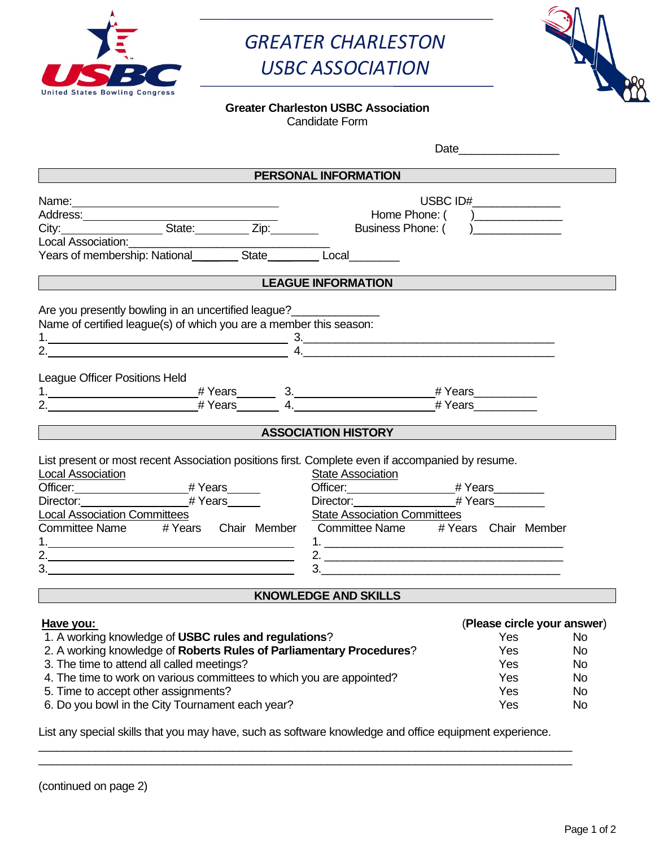

## *GREATER CHARLESTON USBC ASSOCIATION*



Date and the set of the set of the set of the set of the set of the set of the set of the set of the set of the set of the set of the set of the set of the set of the set of the set of the set of the set of the set of the

## **Greater Charleston USBC Association**

Candidate Form

| PERSONAL INFORMATION                                                                                                                                                                                                                                                                                                                                                                                                                            |                                                           |                        |
|-------------------------------------------------------------------------------------------------------------------------------------------------------------------------------------------------------------------------------------------------------------------------------------------------------------------------------------------------------------------------------------------------------------------------------------------------|-----------------------------------------------------------|------------------------|
|                                                                                                                                                                                                                                                                                                                                                                                                                                                 |                                                           |                        |
| Name: Name:                                                                                                                                                                                                                                                                                                                                                                                                                                     | USBC ID#______________<br>Home Phone: ( )________________ |                        |
| Address:<br>City:____________________State:__________Zip:_________                                                                                                                                                                                                                                                                                                                                                                              | Business Phone: ()                                        |                        |
|                                                                                                                                                                                                                                                                                                                                                                                                                                                 |                                                           |                        |
|                                                                                                                                                                                                                                                                                                                                                                                                                                                 |                                                           |                        |
| <b>LEAGUE INFORMATION</b>                                                                                                                                                                                                                                                                                                                                                                                                                       |                                                           |                        |
| <u> 1989 - Johann Barbara, martxa amerikan personal (</u>                                                                                                                                                                                                                                                                                                                                                                                       |                                                           |                        |
| Are you presently bowling in an uncertified league?                                                                                                                                                                                                                                                                                                                                                                                             |                                                           |                        |
| Name of certified league(s) of which you are a member this season:                                                                                                                                                                                                                                                                                                                                                                              |                                                           |                        |
| $1.$ $3.$                                                                                                                                                                                                                                                                                                                                                                                                                                       |                                                           |                        |
| $\overline{a}$ and $\overline{a}$ and $\overline{a}$ and $\overline{a}$ and $\overline{a}$ and $\overline{a}$ and $\overline{a}$ and $\overline{a}$ and $\overline{a}$ and $\overline{a}$ and $\overline{a}$ and $\overline{a}$ and $\overline{a}$ and $\overline{a}$ and $\overline{a}$ and $\overline{a}$ and $\overline{a}$ and                                                                                                              |                                                           |                        |
|                                                                                                                                                                                                                                                                                                                                                                                                                                                 |                                                           |                        |
| League Officer Positions Held                                                                                                                                                                                                                                                                                                                                                                                                                   |                                                           |                        |
|                                                                                                                                                                                                                                                                                                                                                                                                                                                 |                                                           |                        |
|                                                                                                                                                                                                                                                                                                                                                                                                                                                 |                                                           |                        |
|                                                                                                                                                                                                                                                                                                                                                                                                                                                 |                                                           |                        |
| <b>ASSOCIATION HISTORY</b> ASSOCIATION <b>ASSOCIATION</b>                                                                                                                                                                                                                                                                                                                                                                                       |                                                           |                        |
| List present or most recent Association positions first. Complete even if accompanied by resume.<br><b>Local Association</b><br><b>State Association</b><br>Officer: #Years<br>Director: #Years<br><b>Local Association Committees</b><br><b>State Association Committees</b><br>Committee Name # Years Chair Member<br>Committee Name # Years Chair Member<br>2. $\qquad \qquad$<br><u> 1980 - Johann Barbara, martxa alemaniar amerikan a</u> |                                                           |                        |
| <b>KNOWLEDGE AND SKILLS</b>                                                                                                                                                                                                                                                                                                                                                                                                                     |                                                           |                        |
|                                                                                                                                                                                                                                                                                                                                                                                                                                                 |                                                           |                        |
| Have you:                                                                                                                                                                                                                                                                                                                                                                                                                                       | (Please circle your answer)                               |                        |
| 1. A working knowledge of USBC rules and regulations?                                                                                                                                                                                                                                                                                                                                                                                           | <b>Sand Stringer Stringer Stringer</b>                    |                        |
| 2. A working knowledge of Roberts Rules of Parliamentary Procedures?                                                                                                                                                                                                                                                                                                                                                                            | Yes                                                       | <b>No</b>              |
| 3. The time to attend all called meetings?                                                                                                                                                                                                                                                                                                                                                                                                      | Yes                                                       | <b>No</b>              |
| 4. The time to work on various committees to which you are appointed?                                                                                                                                                                                                                                                                                                                                                                           | Yes                                                       | <b>No</b>              |
| 5. Time to accept other assignments?<br>6. Do you bowl in the City Tournament each year?                                                                                                                                                                                                                                                                                                                                                        | Yes<br>Yes                                                | <b>No</b><br><b>No</b> |

\_\_\_\_\_\_\_\_\_\_\_\_\_\_\_\_\_\_\_\_\_\_\_\_\_\_\_\_\_\_\_\_\_\_\_\_\_\_\_\_\_\_\_\_\_\_\_\_\_\_\_\_\_\_\_\_\_\_\_\_\_\_\_\_\_\_\_\_\_\_\_\_\_\_\_\_\_\_\_\_\_\_\_\_\_ \_\_\_\_\_\_\_\_\_\_\_\_\_\_\_\_\_\_\_\_\_\_\_\_\_\_\_\_\_\_\_\_\_\_\_\_\_\_\_\_\_\_\_\_\_\_\_\_\_\_\_\_\_\_\_\_\_\_\_\_\_\_\_\_\_\_\_\_\_\_\_\_\_\_\_\_\_\_\_\_\_\_\_\_\_